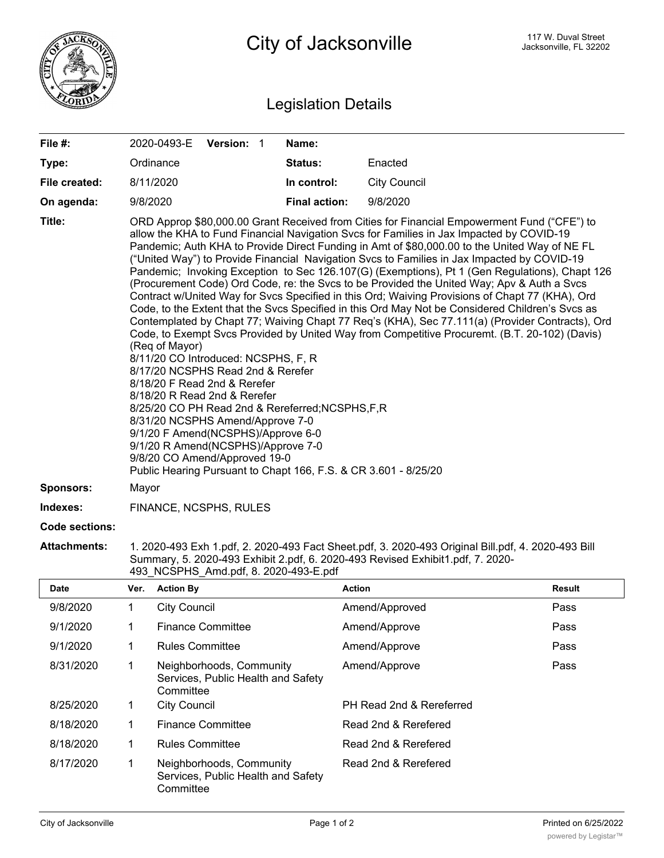

## Legislation Details

| File #:               | 2020-0493-E Version: 1                                                                                                                                                                                                                                                                                                                                                                                                                                                                                                                                                                                                                                                                                                                                                                                                                                                                                                                                                                                                                                                                                                                                                                                                                                                                                                                                                 |  |  | Name:                |                                                                                                    |  |  |
|-----------------------|------------------------------------------------------------------------------------------------------------------------------------------------------------------------------------------------------------------------------------------------------------------------------------------------------------------------------------------------------------------------------------------------------------------------------------------------------------------------------------------------------------------------------------------------------------------------------------------------------------------------------------------------------------------------------------------------------------------------------------------------------------------------------------------------------------------------------------------------------------------------------------------------------------------------------------------------------------------------------------------------------------------------------------------------------------------------------------------------------------------------------------------------------------------------------------------------------------------------------------------------------------------------------------------------------------------------------------------------------------------------|--|--|----------------------|----------------------------------------------------------------------------------------------------|--|--|
| Type:                 | Ordinance                                                                                                                                                                                                                                                                                                                                                                                                                                                                                                                                                                                                                                                                                                                                                                                                                                                                                                                                                                                                                                                                                                                                                                                                                                                                                                                                                              |  |  | <b>Status:</b>       | Enacted                                                                                            |  |  |
| File created:         | 8/11/2020                                                                                                                                                                                                                                                                                                                                                                                                                                                                                                                                                                                                                                                                                                                                                                                                                                                                                                                                                                                                                                                                                                                                                                                                                                                                                                                                                              |  |  | In control:          | <b>City Council</b>                                                                                |  |  |
| On agenda:            | 9/8/2020                                                                                                                                                                                                                                                                                                                                                                                                                                                                                                                                                                                                                                                                                                                                                                                                                                                                                                                                                                                                                                                                                                                                                                                                                                                                                                                                                               |  |  | <b>Final action:</b> | 9/8/2020                                                                                           |  |  |
| Title:                | ORD Approp \$80,000.00 Grant Received from Cities for Financial Empowerment Fund ("CFE") to<br>allow the KHA to Fund Financial Navigation Svcs for Families in Jax Impacted by COVID-19<br>Pandemic; Auth KHA to Provide Direct Funding in Amt of \$80,000.00 to the United Way of NE FL<br>("United Way") to Provide Financial Navigation Svcs to Families in Jax Impacted by COVID-19<br>Pandemic; Invoking Exception to Sec 126.107(G) (Exemptions), Pt 1 (Gen Regulations), Chapt 126<br>(Procurement Code) Ord Code, re: the Svcs to be Provided the United Way; Apv & Auth a Svcs<br>Contract w/United Way for Svcs Specified in this Ord; Waiving Provisions of Chapt 77 (KHA), Ord<br>Code, to the Extent that the Svcs Specified in this Ord May Not be Considered Children's Svcs as<br>Contemplated by Chapt 77; Waiving Chapt 77 Req's (KHA), Sec 77.111(a) (Provider Contracts), Ord<br>Code, to Exempt Svcs Provided by United Way from Competitive Procuremt. (B.T. 20-102) (Davis)<br>(Reg of Mayor)<br>8/11/20 CO Introduced: NCSPHS, F, R<br>8/17/20 NCSPHS Read 2nd & Rerefer<br>8/18/20 F Read 2nd & Rerefer<br>8/18/20 R Read 2nd & Rerefer<br>8/25/20 CO PH Read 2nd & Rereferred; NCSPHS, F, R<br>8/31/20 NCSPHS Amend/Approve 7-0<br>9/1/20 F Amend(NCSPHS)/Approve 6-0<br>9/1/20 R Amend(NCSPHS)/Approve 7-0<br>9/8/20 CO Amend/Approved 19-0 |  |  |                      |                                                                                                    |  |  |
| <b>Sponsors:</b>      | Mayor                                                                                                                                                                                                                                                                                                                                                                                                                                                                                                                                                                                                                                                                                                                                                                                                                                                                                                                                                                                                                                                                                                                                                                                                                                                                                                                                                                  |  |  |                      |                                                                                                    |  |  |
| Indexes:              | FINANCE, NCSPHS, RULES                                                                                                                                                                                                                                                                                                                                                                                                                                                                                                                                                                                                                                                                                                                                                                                                                                                                                                                                                                                                                                                                                                                                                                                                                                                                                                                                                 |  |  |                      |                                                                                                    |  |  |
| <b>Code sections:</b> |                                                                                                                                                                                                                                                                                                                                                                                                                                                                                                                                                                                                                                                                                                                                                                                                                                                                                                                                                                                                                                                                                                                                                                                                                                                                                                                                                                        |  |  |                      |                                                                                                    |  |  |
| <b>Attachments:</b>   |                                                                                                                                                                                                                                                                                                                                                                                                                                                                                                                                                                                                                                                                                                                                                                                                                                                                                                                                                                                                                                                                                                                                                                                                                                                                                                                                                                        |  |  |                      | 1. 2020-493 Exh 1.pdf, 2. 2020-493 Fact Sheet.pdf, 3. 2020-493 Original Bill.pdf, 4. 2020-493 Bill |  |  |

Summary, 5. 2020-493 Exhibit 2.pdf, 6. 2020-493 Revised Exhibit1.pdf, 7. 2020- 493\_NCSPHS\_Amd.pdf, 8. 2020-493-E.pdf

| <b>Date</b> | Ver. | <b>Action By</b>                                                            | <b>Action</b>            | <b>Result</b> |
|-------------|------|-----------------------------------------------------------------------------|--------------------------|---------------|
| 9/8/2020    |      | <b>City Council</b>                                                         | Amend/Approved           | Pass          |
| 9/1/2020    |      | <b>Finance Committee</b>                                                    | Amend/Approve            | Pass          |
| 9/1/2020    |      | <b>Rules Committee</b>                                                      | Amend/Approve            | Pass          |
| 8/31/2020   |      | Neighborhoods, Community<br>Services, Public Health and Safety<br>Committee | Amend/Approve            | Pass          |
| 8/25/2020   |      | <b>City Council</b>                                                         | PH Read 2nd & Rereferred |               |
| 8/18/2020   |      | <b>Finance Committee</b>                                                    | Read 2nd & Rerefered     |               |
| 8/18/2020   | 1    | <b>Rules Committee</b>                                                      | Read 2nd & Rerefered     |               |
| 8/17/2020   |      | Neighborhoods, Community<br>Services, Public Health and Safety<br>Committee | Read 2nd & Rerefered     |               |